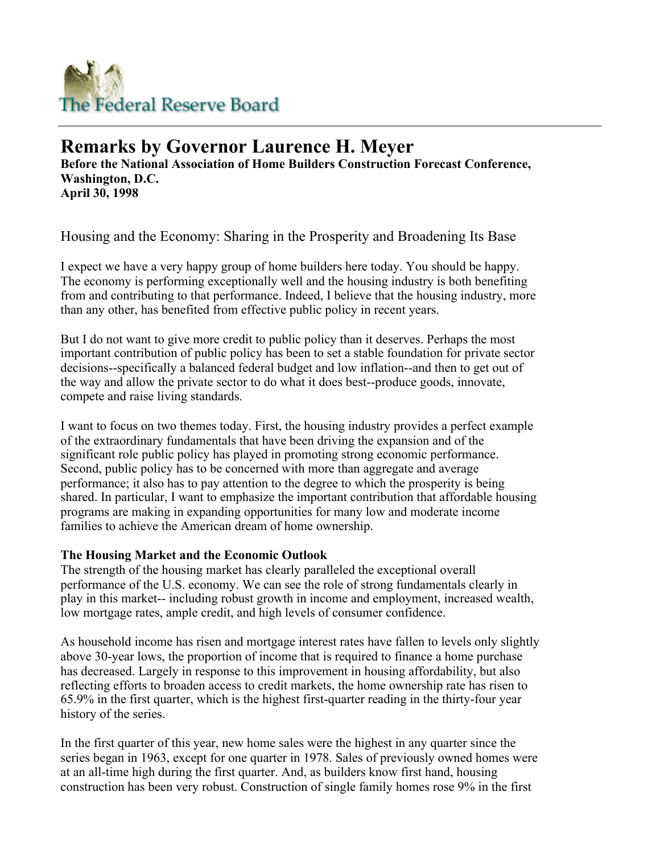

## **Remarks by Governor Laurence H. Meyer**

**Before the National Association of Home Builders Construction Forecast Conference, Washington, D.C. April 30, 1998**

Housing and the Economy: Sharing in the Prosperity and Broadening Its Base

I expect we have a very happy group of home builders here today. You should be happy. The economy is performing exceptionally well and the housing industry is both benefiting from and contributing to that performance. Indeed, I believe that the housing industry, more than any other, has benefited from effective public policy in recent years.

But I do not want to give more credit to public policy than it deserves. Perhaps the most important contribution of public policy has been to set a stable foundation for private sector decisions--specifically a balanced federal budget and low inflation--and then to get out of the way and allow the private sector to do what it does best--produce goods, innovate, compete and raise living standards.

I want to focus on two themes today. First, the housing industry provides a perfect example of the extraordinary fundamentals that have been driving the expansion and of the significant role public policy has played in promoting strong economic performance. Second, public policy has to be concerned with more than aggregate and average performance; it also has to pay attention to the degree to which the prosperity is being shared. In particular, I want to emphasize the important contribution that affordable housing programs are making in expanding opportunities for many low and moderate income families to achieve the American dream of home ownership.

## **The Housing Market and the Economic Outlook**

The strength of the housing market has clearly paralleled the exceptional overall performance of the U.S. economy. We can see the role of strong fundamentals clearly in play in this market-- including robust growth in income and employment, increased wealth, low mortgage rates, ample credit, and high levels of consumer confidence.

As household income has risen and mortgage interest rates have fallen to levels only slightly above 30-year lows, the proportion of income that is required to finance a home purchase has decreased. Largely in response to this improvement in housing affordability, but also reflecting efforts to broaden access to credit markets, the home ownership rate has risen to 65.9% in the first quarter, which is the highest first-quarter reading in the thirty-four year history of the series.

In the first quarter of this year, new home sales were the highest in any quarter since the series began in 1963, except for one quarter in 1978. Sales of previously owned homes were at an all-time high during the first quarter. And, as builders know first hand, housing construction has been very robust. Construction of single family homes rose 9% in the first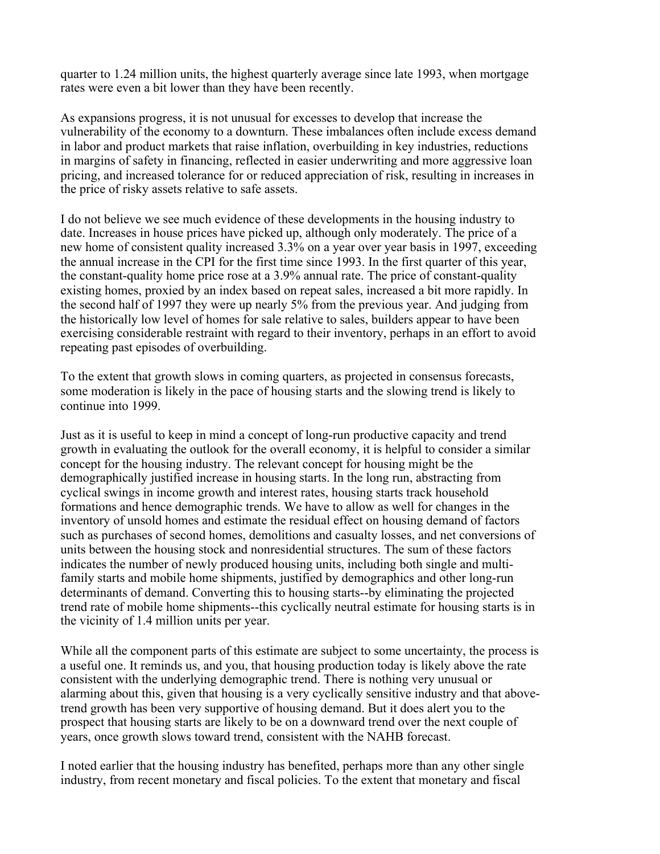quarter to 1.24 million units, the highest quarterly average since late 1993, when mortgage rates were even a bit lower than they have been recently.

As expansions progress, it is not unusual for excesses to develop that increase the vulnerability of the economy to a downturn. These imbalances often include excess demand in labor and product markets that raise inflation, overbuilding in key industries, reductions in margins of safety in financing, reflected in easier underwriting and more aggressive loan pricing, and increased tolerance for or reduced appreciation of risk, resulting in increases in the price of risky assets relative to safe assets.

I do not believe we see much evidence of these developments in the housing industry to date. Increases in house prices have picked up, although only moderately. The price of a new home of consistent quality increased 3.3% on a year over year basis in 1997, exceeding the annual increase in the CPI for the first time since 1993. In the first quarter of this year, the constant-quality home price rose at a 3.9% annual rate. The price of constant-quality existing homes, proxied by an index based on repeat sales, increased a bit more rapidly. In the second half of 1997 they were up nearly 5% from the previous year. And judging from the historically low level of homes for sale relative to sales, builders appear to have been exercising considerable restraint with regard to their inventory, perhaps in an effort to avoid repeating past episodes of overbuilding.

To the extent that growth slows in coming quarters, as projected in consensus forecasts, some moderation is likely in the pace of housing starts and the slowing trend is likely to continue into 1999.

Just as it is useful to keep in mind a concept of long-run productive capacity and trend growth in evaluating the outlook for the overall economy, it is helpful to consider a similar concept for the housing industry. The relevant concept for housing might be the demographically justified increase in housing starts. In the long run, abstracting from cyclical swings in income growth and interest rates, housing starts track household formations and hence demographic trends. We have to allow as well for changes in the inventory of unsold homes and estimate the residual effect on housing demand of factors such as purchases of second homes, demolitions and casualty losses, and net conversions of units between the housing stock and nonresidential structures. The sum of these factors indicates the number of newly produced housing units, including both single and multifamily starts and mobile home shipments, justified by demographics and other long-run determinants of demand. Converting this to housing starts--by eliminating the projected trend rate of mobile home shipments--this cyclically neutral estimate for housing starts is in the vicinity of 1.4 million units per year.

While all the component parts of this estimate are subject to some uncertainty, the process is a useful one. It reminds us, and you, that housing production today is likely above the rate consistent with the underlying demographic trend. There is nothing very unusual or alarming about this, given that housing is a very cyclically sensitive industry and that abovetrend growth has been very supportive of housing demand. But it does alert you to the prospect that housing starts are likely to be on a downward trend over the next couple of years, once growth slows toward trend, consistent with the NAHB forecast.

I noted earlier that the housing industry has benefited, perhaps more than any other single industry, from recent monetary and fiscal policies. To the extent that monetary and fiscal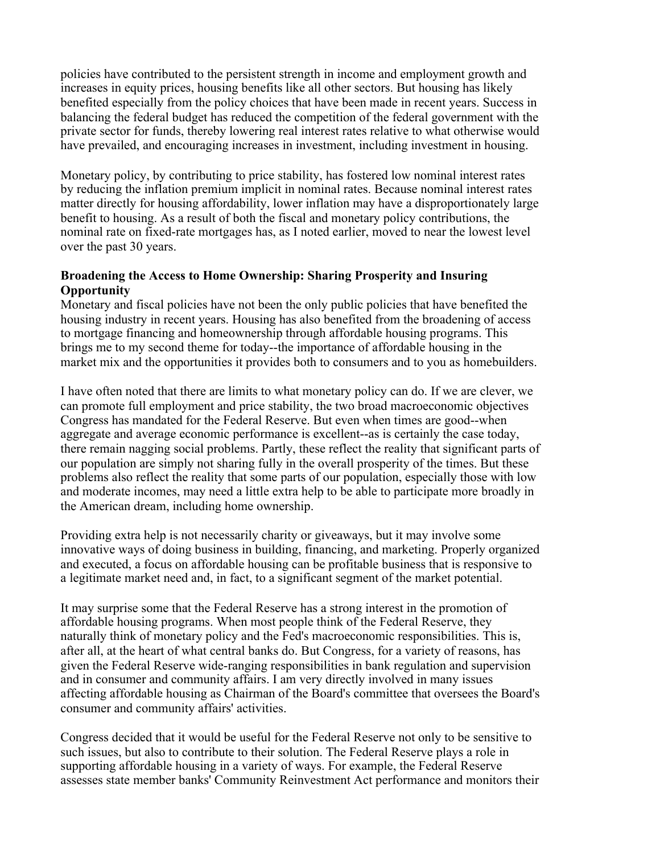policies have contributed to the persistent strength in income and employment growth and increases in equity prices, housing benefits like all other sectors. But housing has likely benefited especially from the policy choices that have been made in recent years. Success in balancing the federal budget has reduced the competition of the federal government with the private sector for funds, thereby lowering real interest rates relative to what otherwise would have prevailed, and encouraging increases in investment, including investment in housing.

Monetary policy, by contributing to price stability, has fostered low nominal interest rates by reducing the inflation premium implicit in nominal rates. Because nominal interest rates matter directly for housing affordability, lower inflation may have a disproportionately large benefit to housing. As a result of both the fiscal and monetary policy contributions, the nominal rate on fixed-rate mortgages has, as I noted earlier, moved to near the lowest level over the past 30 years.

## **Broadening the Access to Home Ownership: Sharing Prosperity and Insuring Opportunity**

Monetary and fiscal policies have not been the only public policies that have benefited the housing industry in recent years. Housing has also benefited from the broadening of access to mortgage financing and homeownership through affordable housing programs. This brings me to my second theme for today--the importance of affordable housing in the market mix and the opportunities it provides both to consumers and to you as homebuilders.

I have often noted that there are limits to what monetary policy can do. If we are clever, we can promote full employment and price stability, the two broad macroeconomic objectives Congress has mandated for the Federal Reserve. But even when times are good--when aggregate and average economic performance is excellent--as is certainly the case today, there remain nagging social problems. Partly, these reflect the reality that significant parts of our population are simply not sharing fully in the overall prosperity of the times. But these problems also reflect the reality that some parts of our population, especially those with low and moderate incomes, may need a little extra help to be able to participate more broadly in the American dream, including home ownership.

Providing extra help is not necessarily charity or giveaways, but it may involve some innovative ways of doing business in building, financing, and marketing. Properly organized and executed, a focus on affordable housing can be profitable business that is responsive to a legitimate market need and, in fact, to a significant segment of the market potential.

It may surprise some that the Federal Reserve has a strong interest in the promotion of affordable housing programs. When most people think of the Federal Reserve, they naturally think of monetary policy and the Fed's macroeconomic responsibilities. This is, after all, at the heart of what central banks do. But Congress, for a variety of reasons, has given the Federal Reserve wide-ranging responsibilities in bank regulation and supervision and in consumer and community affairs. I am very directly involved in many issues affecting affordable housing as Chairman of the Board's committee that oversees the Board's consumer and community affairs' activities.

Congress decided that it would be useful for the Federal Reserve not only to be sensitive to such issues, but also to contribute to their solution. The Federal Reserve plays a role in supporting affordable housing in a variety of ways. For example, the Federal Reserve assesses state member banks' Community Reinvestment Act performance and monitors their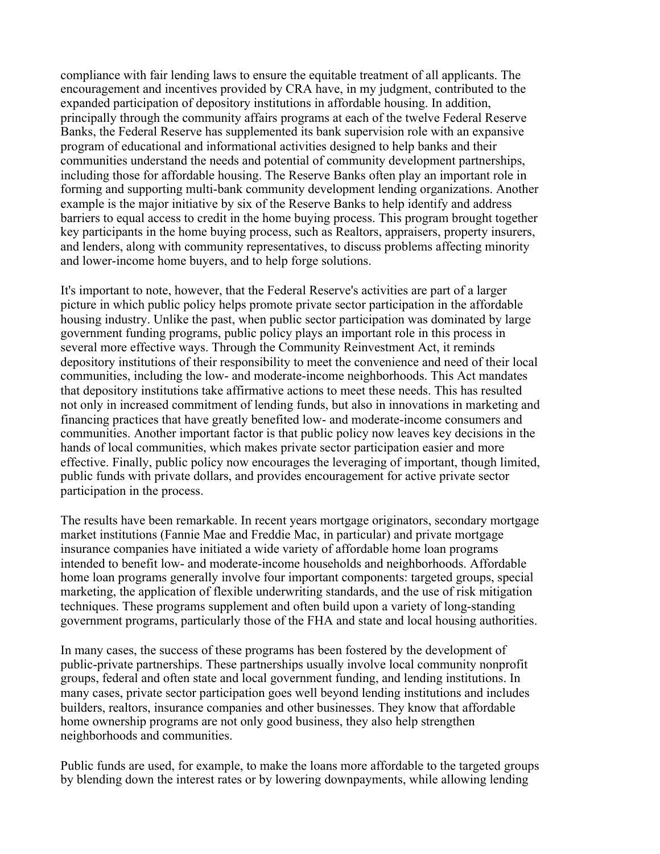compliance with fair lending laws to ensure the equitable treatment of all applicants. The encouragement and incentives provided by CRA have, in my judgment, contributed to the expanded participation of depository institutions in affordable housing. In addition, principally through the community affairs programs at each of the twelve Federal Reserve Banks, the Federal Reserve has supplemented its bank supervision role with an expansive program of educational and informational activities designed to help banks and their communities understand the needs and potential of community development partnerships, including those for affordable housing. The Reserve Banks often play an important role in forming and supporting multi-bank community development lending organizations. Another example is the major initiative by six of the Reserve Banks to help identify and address barriers to equal access to credit in the home buying process. This program brought together key participants in the home buying process, such as Realtors, appraisers, property insurers, and lenders, along with community representatives, to discuss problems affecting minority and lower-income home buyers, and to help forge solutions.

It's important to note, however, that the Federal Reserve's activities are part of a larger picture in which public policy helps promote private sector participation in the affordable housing industry. Unlike the past, when public sector participation was dominated by large government funding programs, public policy plays an important role in this process in several more effective ways. Through the Community Reinvestment Act, it reminds depository institutions of their responsibility to meet the convenience and need of their local communities, including the low- and moderate-income neighborhoods. This Act mandates that depository institutions take affirmative actions to meet these needs. This has resulted not only in increased commitment of lending funds, but also in innovations in marketing and financing practices that have greatly benefited low- and moderate-income consumers and communities. Another important factor is that public policy now leaves key decisions in the hands of local communities, which makes private sector participation easier and more effective. Finally, public policy now encourages the leveraging of important, though limited, public funds with private dollars, and provides encouragement for active private sector participation in the process.

The results have been remarkable. In recent years mortgage originators, secondary mortgage market institutions (Fannie Mae and Freddie Mac, in particular) and private mortgage insurance companies have initiated a wide variety of affordable home loan programs intended to benefit low- and moderate-income households and neighborhoods. Affordable home loan programs generally involve four important components: targeted groups, special marketing, the application of flexible underwriting standards, and the use of risk mitigation techniques. These programs supplement and often build upon a variety of long-standing government programs, particularly those of the FHA and state and local housing authorities.

In many cases, the success of these programs has been fostered by the development of public-private partnerships. These partnerships usually involve local community nonprofit groups, federal and often state and local government funding, and lending institutions. In many cases, private sector participation goes well beyond lending institutions and includes builders, realtors, insurance companies and other businesses. They know that affordable home ownership programs are not only good business, they also help strengthen neighborhoods and communities.

Public funds are used, for example, to make the loans more affordable to the targeted groups by blending down the interest rates or by lowering downpayments, while allowing lending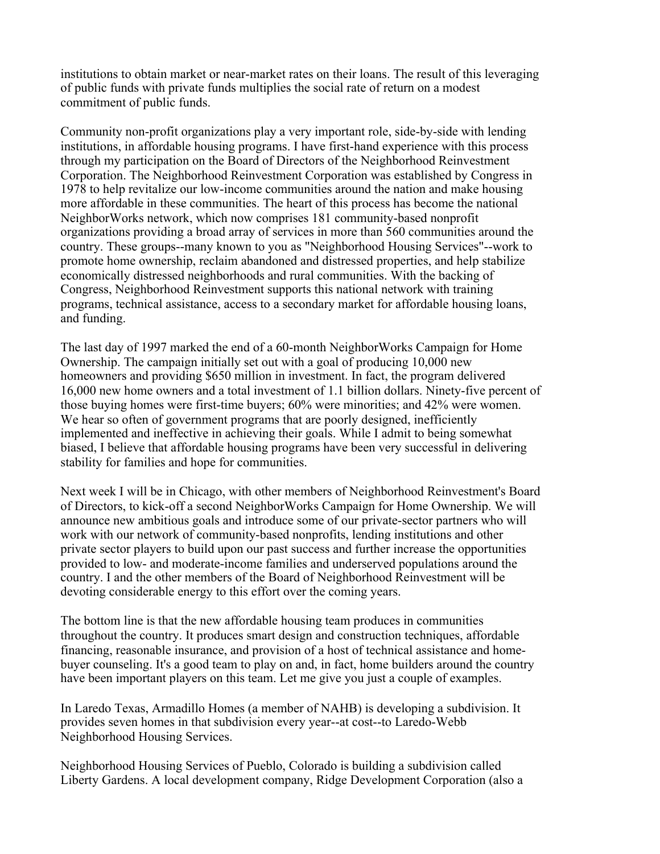institutions to obtain market or near-market rates on their loans. The result of this leveraging of public funds with private funds multiplies the social rate of return on a modest commitment of public funds.

Community non-profit organizations play a very important role, side-by-side with lending institutions, in affordable housing programs. I have first-hand experience with this process through my participation on the Board of Directors of the Neighborhood Reinvestment Corporation. The Neighborhood Reinvestment Corporation was established by Congress in 1978 to help revitalize our low-income communities around the nation and make housing more affordable in these communities. The heart of this process has become the national NeighborWorks network, which now comprises 181 community-based nonprofit organizations providing a broad array of services in more than 560 communities around the country. These groups--many known to you as "Neighborhood Housing Services"--work to promote home ownership, reclaim abandoned and distressed properties, and help stabilize economically distressed neighborhoods and rural communities. With the backing of Congress, Neighborhood Reinvestment supports this national network with training programs, technical assistance, access to a secondary market for affordable housing loans, and funding.

The last day of 1997 marked the end of a 60-month NeighborWorks Campaign for Home Ownership. The campaign initially set out with a goal of producing 10,000 new homeowners and providing \$650 million in investment. In fact, the program delivered 16,000 new home owners and a total investment of 1.1 billion dollars. Ninety-five percent of those buying homes were first-time buyers; 60% were minorities; and 42% were women. We hear so often of government programs that are poorly designed, inefficiently implemented and ineffective in achieving their goals. While I admit to being somewhat biased, I believe that affordable housing programs have been very successful in delivering stability for families and hope for communities.

Next week I will be in Chicago, with other members of Neighborhood Reinvestment's Board of Directors, to kick-off a second NeighborWorks Campaign for Home Ownership. We will announce new ambitious goals and introduce some of our private-sector partners who will work with our network of community-based nonprofits, lending institutions and other private sector players to build upon our past success and further increase the opportunities provided to low- and moderate-income families and underserved populations around the country. I and the other members of the Board of Neighborhood Reinvestment will be devoting considerable energy to this effort over the coming years.

The bottom line is that the new affordable housing team produces in communities throughout the country. It produces smart design and construction techniques, affordable financing, reasonable insurance, and provision of a host of technical assistance and homebuyer counseling. It's a good team to play on and, in fact, home builders around the country have been important players on this team. Let me give you just a couple of examples.

In Laredo Texas, Armadillo Homes (a member of NAHB) is developing a subdivision. It provides seven homes in that subdivision every year--at cost--to Laredo-Webb Neighborhood Housing Services.

Neighborhood Housing Services of Pueblo, Colorado is building a subdivision called Liberty Gardens. A local development company, Ridge Development Corporation (also a